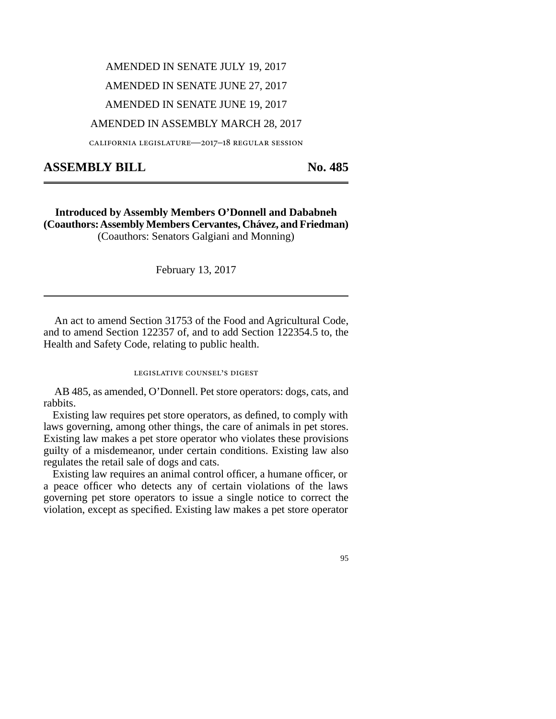## AMENDED IN SENATE JULY 19, 2017

AMENDED IN SENATE JUNE 27, 2017

AMENDED IN SENATE JUNE 19, 2017

#### AMENDED IN ASSEMBLY MARCH 28, 2017

california legislature—2017–18 regular session

# ASSEMBLY BILL No. 485

### **Introduced by Assembly Members O'Donnell and Dababneh (Coauthors: Assembly Members Cervantes, Chávez, and Friedman)** (Coauthors: Senators Galgiani and Monning)

February 13, 2017

An act to amend Section 31753 of the Food and Agricultural Code, and to amend Section 122357 of, and to add Section 122354.5 to, the Health and Safety Code, relating to public health.

#### legislative counsel's digest

AB 485, as amended, O'Donnell. Pet store operators: dogs, cats, and rabbits.

Existing law requires pet store operators, as defined, to comply with laws governing, among other things, the care of animals in pet stores. Existing law makes a pet store operator who violates these provisions guilty of a misdemeanor, under certain conditions. Existing law also regulates the retail sale of dogs and cats.

Existing law requires an animal control officer, a humane officer, or a peace officer who detects any of certain violations of the laws governing pet store operators to issue a single notice to correct the violation, except as specified. Existing law makes a pet store operator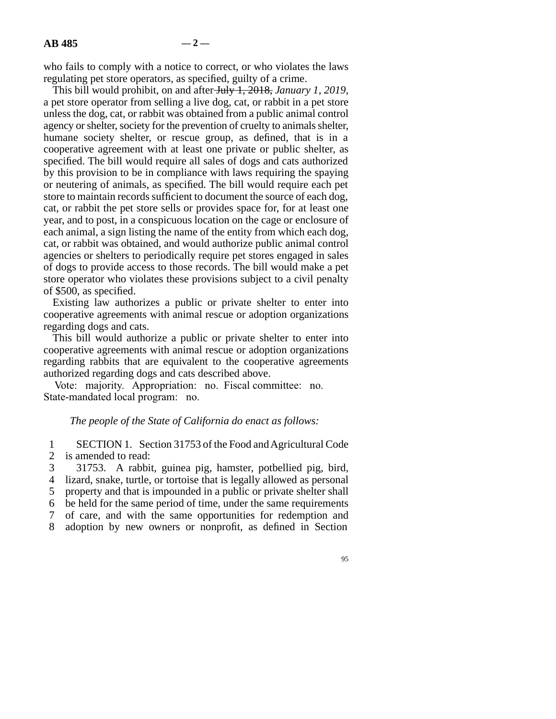who fails to comply with a notice to correct, or who violates the laws regulating pet store operators, as specified, guilty of a crime.

This bill would prohibit, on and after July 1, 2018, *January 1, 2019,* a pet store operator from selling a live dog, cat, or rabbit in a pet store unless the dog, cat, or rabbit was obtained from a public animal control agency or shelter, society for the prevention of cruelty to animals shelter, humane society shelter, or rescue group, as defined, that is in a cooperative agreement with at least one private or public shelter, as specified. The bill would require all sales of dogs and cats authorized by this provision to be in compliance with laws requiring the spaying or neutering of animals, as specified. The bill would require each pet store to maintain records sufficient to document the source of each dog, cat, or rabbit the pet store sells or provides space for, for at least one year, and to post, in a conspicuous location on the cage or enclosure of each animal, a sign listing the name of the entity from which each dog, cat, or rabbit was obtained, and would authorize public animal control agencies or shelters to periodically require pet stores engaged in sales of dogs to provide access to those records. The bill would make a pet store operator who violates these provisions subject to a civil penalty of \$500, as specified.

Existing law authorizes a public or private shelter to enter into cooperative agreements with animal rescue or adoption organizations regarding dogs and cats.

This bill would authorize a public or private shelter to enter into cooperative agreements with animal rescue or adoption organizations regarding rabbits that are equivalent to the cooperative agreements authorized regarding dogs and cats described above.

Vote: majority. Appropriation: no. Fiscal committee: no. State-mandated local program: no.

### *The people of the State of California do enact as follows:*

1 SECTION 1. Section 31753 of the Food and Agricultural Code 2 is amended to read:

3 31753. A rabbit, guinea pig, hamster, potbellied pig, bird, 4 lizard, snake, turtle, or tortoise that is legally allowed as personal 5 property and that is impounded in a public or private shelter shall line 6 be held for the same period of time, under the same requirements line 7 of care, and with the same opportunities for redemption and 8 adoption by new owners or nonprofit, as defined in Section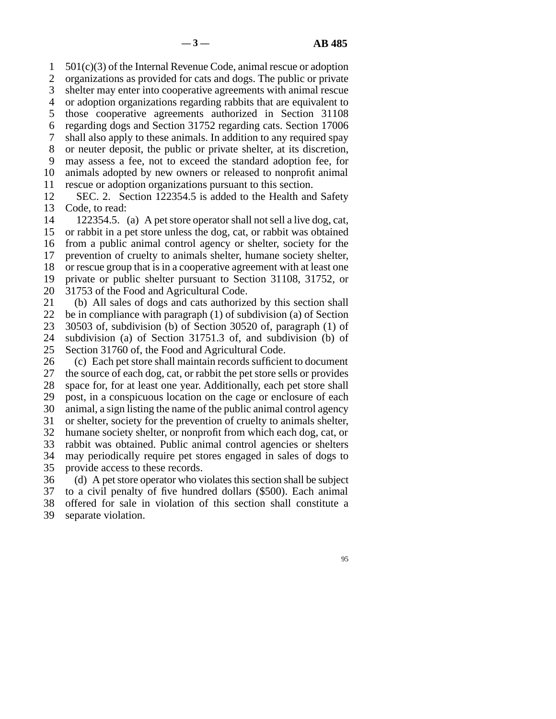1  $501(c)(3)$  of the Internal Revenue Code, animal rescue or adoption 2 organizations as provided for cats and dogs. The public or private 3 shelter may enter into cooperative agreements with animal rescue 4 or adoption organizations regarding rabbits that are equivalent to 5 those cooperative agreements authorized in Section 31108 line 6 regarding dogs and Section 31752 regarding cats. Section 17006 7 shall also apply to these animals. In addition to any required spay 8 or neuter deposit, the public or private shelter, at its discretion, line 9 may assess a fee, not to exceed the standard adoption fee, for

10 animals adopted by new owners or released to nonprofit animal 11 rescue or adoption organizations pursuant to this section.

12 SEC. 2. Section 122354.5 is added to the Health and Safety 13 Code, to read:

14 122354.5. (a) A pet store operator shall not sell a live dog, cat, 15 or rabbit in a pet store unless the dog, cat, or rabbit was obtained 16 from a public animal control agency or shelter, society for the 17 prevention of cruelty to animals shelter, humane society shelter, 18 or rescue group that is in a cooperative agreement with at least one 19 private or public shelter pursuant to Section 31108, 31752, or 20 31753 of the Food and Agricultural Code.

21 (b) All sales of dogs and cats authorized by this section shall 22 be in compliance with paragraph  $(1)$  of subdivision (a) of Section 23 30503 of, subdivision (b) of Section 30520 of, paragraph (1) of 24 subdivision (a) of Section 31751.3 of, and subdivision (b) of 25 Section 31760 of, the Food and Agricultural Code. Section 31760 of, the Food and Agricultural Code.

26 (c) Each pet store shall maintain records sufficient to document<br>27 the source of each dog, cat, or rabbit the pet store sells or provides the source of each dog, cat, or rabbit the pet store sells or provides 28 space for, for at least one year. Additionally, each pet store shall 29 post, in a conspicuous location on the cage or enclosure of each 30 animal, a sign listing the name of the public animal control agency 31 or shelter, society for the prevention of cruelty to animals shelter, 32 humane society shelter, or nonprofit from which each dog, cat, or 33 rabbit was obtained. Public animal control agencies or shelters 34 may periodically require pet stores engaged in sales of dogs to 35 provide access to these records. 36 (d) A pet store operator who violates this section shall be subject

37 to a civil penalty of five hundred dollars (\$500). Each animal 38 offered for sale in violation of this section shall constitute a

39 separate violation.